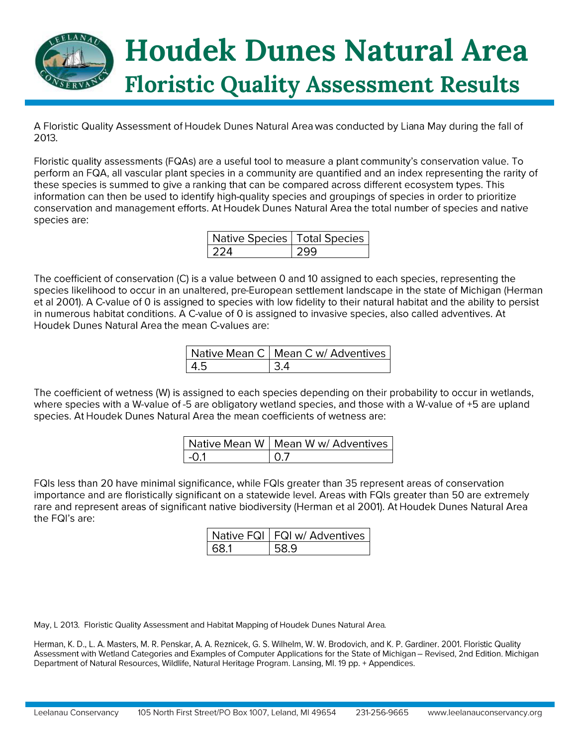

A Floristic Quality Assessment of Houdek Dunes Natural Area was conducted by Liana May during the fall of 2013.

Floristic quality assessments (FQAs) are a useful tool to measure a plant community's conservation value. To perform an FQA, all vascular plant species in a community are quantified and an index representing the rarity of these species is summed to give a ranking that can be compared across different ecosystem types. This information can then be used to identify high-quality species and groupings of species in order to prioritize conservation and management efforts. At Houdek Dunes Natural Area the total number of species and native species are:

| Native Species   Total Species |  |
|--------------------------------|--|
|                                |  |

The coefficient of conservation (C) is a value between 0 and 10 assigned to each species, representing the species likelihood to occur in an unaltered, pre-European settlement landscape in the state of Michigan (Herman et al 2001). A C-value of 0 is assigned to species with low fidelity to their natural habitat and the ability to persist in numerous habitat conditions. A C-value of 0 is assigned to invasive species, also called adventives. At Houdek Dunes Natural Area the mean C-values are:

|     | Native Mean C   Mean C w/ Adventives |
|-----|--------------------------------------|
| - 4 |                                      |

The coefficient of wetness (W) is assigned to each species depending on their probability to occur in wetlands, where species with a W-value of -5 are obligatory wetland species, and those with a W-value of +5 are upland species. At Houdek Dunes Natural Area the mean coefficients of wetness are:

|      | Native Mean W   Mean W w/ Adventives |
|------|--------------------------------------|
| −O 1 | I N 7                                |

FQIs less than 20 have minimal significance, while FQIs greater than 35 represent areas of conservation importance and are floristically significant on a statewide level. Areas with FQIs greater than 50 are extremely rare and represent areas of significant native biodiversity (Herman et al 2001). At Houdek Dunes Natural Area the FQI's are:

| Native FQI   FQI w/ Adventives |
|--------------------------------|
|                                |

May, L 2013. Floristic Quality Assessment and Habitat Mapping of Houdek Dunes Natural Area.

Herman, K. D., L. A. Masters, M. R. Penskar, A. A. Reznicek, G. S. Wilhelm, W. W. Brodovich, and K. P. Gardiner. 2001. Floristic Quality Assessment with Wetland Categories and Examples of Computer Applications for the State of Michigan - Revised, 2nd Edition. Michigan Department of Natural Resources, Wildlife, Natural Heritage Program. Lansing, MI. 19 pp. + Appendices.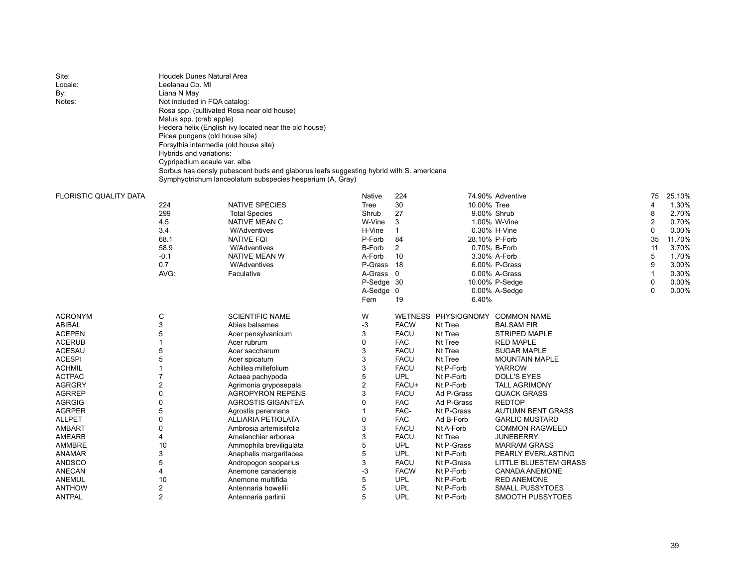| Site:                         | <b>Houdek Dunes Natural Area</b>           |                                                                                         |            |                |                     |                          |                |        |  |  |  |
|-------------------------------|--------------------------------------------|-----------------------------------------------------------------------------------------|------------|----------------|---------------------|--------------------------|----------------|--------|--|--|--|
| Locale:                       | Leelanau Co. MI                            |                                                                                         |            |                |                     |                          |                |        |  |  |  |
| By:                           | Liana N May                                |                                                                                         |            |                |                     |                          |                |        |  |  |  |
| Notes:                        | Not included in FQA catalog:               |                                                                                         |            |                |                     |                          |                |        |  |  |  |
|                               | Rosa spp. (cultivated Rosa near old house) |                                                                                         |            |                |                     |                          |                |        |  |  |  |
|                               | Malus spp. (crab apple)                    |                                                                                         |            |                |                     |                          |                |        |  |  |  |
|                               |                                            | Hedera helix (English ivy located near the old house)                                   |            |                |                     |                          |                |        |  |  |  |
|                               | Picea pungens (old house site)             |                                                                                         |            |                |                     |                          |                |        |  |  |  |
|                               | Forsythia intermedia (old house site)      |                                                                                         |            |                |                     |                          |                |        |  |  |  |
|                               | Hybrids and variations:                    |                                                                                         |            |                |                     |                          |                |        |  |  |  |
|                               | Cypripedium acaule var. alba               |                                                                                         |            |                |                     |                          |                |        |  |  |  |
|                               |                                            | Sorbus has densly pubescent buds and glaborus leafs suggesting hybrid with S. americana |            |                |                     |                          |                |        |  |  |  |
|                               |                                            | Symphyotrichum lanceolatum subspecies hesperium (A. Gray)                               |            |                |                     |                          |                |        |  |  |  |
|                               |                                            |                                                                                         |            |                |                     |                          |                |        |  |  |  |
| <b>FLORISTIC QUALITY DATA</b> |                                            |                                                                                         | Native     | 224            |                     | 74.90% Adventive         | 75             | 25.10% |  |  |  |
|                               | 224                                        | <b>NATIVE SPECIES</b>                                                                   | Tree       | 30             | 10.00% Tree         |                          | $\overline{4}$ | 1.30%  |  |  |  |
|                               | 299                                        | <b>Total Species</b>                                                                    | Shrub      | 27             |                     | 9.00% Shrub              | 8              | 2.70%  |  |  |  |
|                               | 4.5                                        | NATIVE MEAN C                                                                           | W-Vine     | 3              |                     | 1.00% W-Vine             | $\overline{2}$ | 0.70%  |  |  |  |
|                               | 3.4                                        | <b>W/Adventives</b>                                                                     | H-Vine     | $\mathbf{1}$   |                     | 0.30% H-Vine             | 0              | 0.00%  |  |  |  |
|                               | 68.1                                       | <b>NATIVE FQI</b>                                                                       | P-Forb     | 84             |                     | 28.10% P-Forb            | 35             | 11.70% |  |  |  |
|                               | 58.9                                       | <b>W/Adventives</b>                                                                     | B-Forb     | $\overline{2}$ |                     | 0.70% B-Forb             | 11             | 3.70%  |  |  |  |
|                               | $-0.1$                                     | NATIVE MEAN W                                                                           | A-Forb     | 10             |                     | 3.30% A-Forb             | 5              | 1.70%  |  |  |  |
|                               | 0.7                                        | <b>W/Adventives</b>                                                                     | P-Grass 18 |                |                     | 6.00% P-Grass            | 9              | 3.00%  |  |  |  |
|                               | AVG:                                       | Faculative                                                                              | A-Grass 0  |                |                     | 0.00% A-Grass            | $\mathbf{1}$   | 0.30%  |  |  |  |
|                               |                                            |                                                                                         | P-Sedge 30 |                |                     | 10.00% P-Sedge           | $\Omega$       | 0.00%  |  |  |  |
|                               |                                            |                                                                                         | A-Sedge 0  |                |                     | $0.00\%$ A-Sedge         | $\Omega$       | 0.00%  |  |  |  |
|                               |                                            |                                                                                         | Fern       | 19             | 6.40%               |                          |                |        |  |  |  |
|                               |                                            |                                                                                         |            |                |                     |                          |                |        |  |  |  |
| <b>ACRONYM</b>                | C                                          | <b>SCIENTIFIC NAME</b>                                                                  | W          |                | WETNESS PHYSIOGNOMY | <b>COMMON NAME</b>       |                |        |  |  |  |
| <b>ABIBAL</b>                 | 3                                          | Abies balsamea                                                                          | -3         | <b>FACW</b>    | Nt Tree             | <b>BALSAM FIR</b>        |                |        |  |  |  |
| <b>ACEPEN</b>                 | 5                                          | Acer pensylvanicum                                                                      | 3          | <b>FACU</b>    | Nt Tree             | <b>STRIPED MAPLE</b>     |                |        |  |  |  |
| <b>ACERUB</b>                 | $\mathbf{1}$                               | Acer rubrum                                                                             | 0          | <b>FAC</b>     | Nt Tree             | <b>RED MAPLE</b>         |                |        |  |  |  |
| <b>ACESAU</b>                 | 5                                          | Acer saccharum                                                                          | 3          | <b>FACU</b>    | Nt Tree             | <b>SUGAR MAPLE</b>       |                |        |  |  |  |
| <b>ACESPI</b>                 | 5                                          | Acer spicatum                                                                           | 3          | <b>FACU</b>    | Nt Tree             | <b>MOUNTAIN MAPLE</b>    |                |        |  |  |  |
| <b>ACHMIL</b>                 | $\mathbf{1}$                               | Achillea millefolium                                                                    | 3          | <b>FACU</b>    | Nt P-Forb           | <b>YARROW</b>            |                |        |  |  |  |
| <b>ACTPAC</b>                 | $\overline{7}$                             | Actaea pachypoda                                                                        | 5          | <b>UPL</b>     | Nt P-Forb           | <b>DOLL'S EYES</b>       |                |        |  |  |  |
| <b>AGRGRY</b>                 | $\overline{2}$                             | Agrimonia gryposepala                                                                   | 2          | FACU+          | Nt P-Forb           | <b>TALL AGRIMONY</b>     |                |        |  |  |  |
| <b>AGRREP</b>                 | $\mathbf 0$                                | <b>AGROPYRON REPENS</b>                                                                 | 3          | <b>FACU</b>    | Ad P-Grass          | <b>QUACK GRASS</b>       |                |        |  |  |  |
| <b>AGRGIG</b>                 | $\mathbf 0$                                | AGROSTIS GIGANTEA                                                                       | 0          | <b>FAC</b>     | Ad P-Grass          | <b>REDTOP</b>            |                |        |  |  |  |
| <b>AGRPER</b>                 | 5                                          | Agrostis perennans                                                                      | 1          | FAC-           | Nt P-Grass          | <b>AUTUMN BENT GRASS</b> |                |        |  |  |  |
| <b>ALLPET</b>                 | $\Omega$                                   | <b>ALLIARIA PETIOLATA</b>                                                               | 0          | <b>FAC</b>     | Ad B-Forb           | <b>GARLIC MUSTARD</b>    |                |        |  |  |  |
| <b>AMBART</b>                 | $\mathbf 0$                                | Ambrosia artemisiifolia                                                                 | 3          | <b>FACU</b>    | Nt A-Forb           | <b>COMMON RAGWEED</b>    |                |        |  |  |  |
| AMEARB                        | 4                                          | Amelanchier arborea                                                                     | 3          | <b>FACU</b>    | Nt Tree             | <b>JUNEBERRY</b>         |                |        |  |  |  |
| AMMBRE                        | 10                                         | Ammophila breviligulata                                                                 | 5          | <b>UPL</b>     | Nt P-Grass          | <b>MARRAM GRASS</b>      |                |        |  |  |  |
| ANAMAR                        | 3                                          | Anaphalis margaritacea                                                                  | 5          | <b>UPL</b>     | Nt P-Forb           | PEARLY EVERLASTING       |                |        |  |  |  |
| <b>ANDSCO</b>                 | 5                                          | Andropogon scoparius                                                                    | 3          | <b>FACU</b>    | Nt P-Grass          | LITTLE BLUESTEM GRASS    |                |        |  |  |  |
| <b>ANECAN</b>                 | 4                                          | Anemone canadensis                                                                      | -3         | <b>FACW</b>    | Nt P-Forb           | CANADA ANEMONE           |                |        |  |  |  |
| ANEMUL                        | 10                                         | Anemone multifida                                                                       | 5          | <b>UPL</b>     | Nt P-Forb           | <b>RED ANEMONE</b>       |                |        |  |  |  |
| <b>ANTHOW</b>                 | 2                                          | Antennaria howellii                                                                     | 5          | <b>UPL</b>     | Nt P-Forb           | <b>SMALL PUSSYTOES</b>   |                |        |  |  |  |
| <b>ANTPAL</b>                 | $\overline{2}$                             | Antennaria parlinii                                                                     | 5          | UPL            | Nt P-Forb           | SMOOTH PUSSYTOES         |                |        |  |  |  |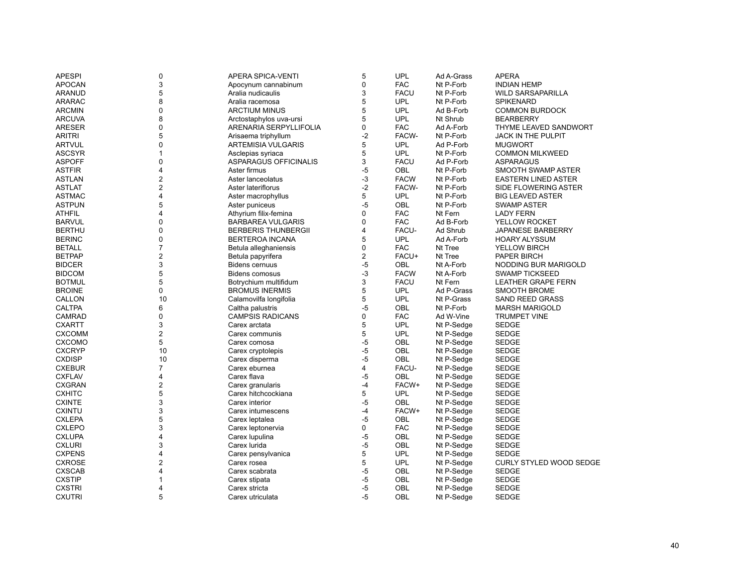| <b>APESPI</b> | 0                   | APERA SPICA-VENTI          | 5              | <b>UPL</b>  | Ad A-Grass | <b>APERA</b>                   |
|---------------|---------------------|----------------------------|----------------|-------------|------------|--------------------------------|
| <b>APOCAN</b> | 3                   | Apocynum cannabinum        | 0              | <b>FAC</b>  | Nt P-Forb  | <b>INDIAN HEMP</b>             |
| <b>ARANUD</b> | 5                   | Aralia nudicaulis          | 3              | <b>FACU</b> | Nt P-Forb  | <b>WILD SARSAPARILLA</b>       |
| <b>ARARAC</b> | 8                   | Aralia racemosa            | 5              | <b>UPL</b>  | Nt P-Forb  | <b>SPIKENARD</b>               |
| <b>ARCMIN</b> | $\mathbf 0$         | <b>ARCTIUM MINUS</b>       | 5              | <b>UPL</b>  | Ad B-Forb  | <b>COMMON BURDOCK</b>          |
| <b>ARCUVA</b> | 8                   | Arctostaphylos uva-ursi    | 5              | <b>UPL</b>  | Nt Shrub   | <b>BEARBERRY</b>               |
| <b>ARESER</b> | $\mathbf 0$         | ARENARIA SERPYLLIFOLIA     | 0              | <b>FAC</b>  | Ad A-Forb  | THYME LEAVED SANDWORT          |
| <b>ARITRI</b> | 5                   | Arisaema triphyllum        | $-2$           | FACW-       | Nt P-Forb  | <b>JACK IN THE PULPIT</b>      |
| <b>ARTVUL</b> | $\Omega$            | <b>ARTEMISIA VULGARIS</b>  | 5              | <b>UPL</b>  | Ad P-Forb  | <b>MUGWORT</b>                 |
| <b>ASCSYR</b> | $\mathbf{1}$        | Asclepias syriaca          | 5              | <b>UPL</b>  | Nt P-Forb  | <b>COMMON MILKWEED</b>         |
| <b>ASPOFF</b> | $\mathbf 0$         | ASPARAGUS OFFICINALIS      | 3              | <b>FACU</b> | Ad P-Forb  | ASPARAGUS                      |
| <b>ASTFIR</b> | $\overline{4}$      | Aster firmus               | -5             | <b>OBL</b>  | Nt P-Forb  | SMOOTH SWAMP ASTER             |
| <b>ASTLAN</b> | $\boldsymbol{2}$    | Aster lanceolatus          | -3             | <b>FACW</b> | Nt P-Forb  | <b>EASTERN LINED ASTER</b>     |
| <b>ASTLAT</b> | $\overline{2}$      | Aster lateriflorus         | $-2$           | FACW-       | Nt P-Forb  | SIDE FLOWERING ASTER           |
| <b>ASTMAC</b> | 4                   | Aster macrophyllus         | 5              | <b>UPL</b>  | Nt P-Forb  | <b>BIG LEAVED ASTER</b>        |
| <b>ASTPUN</b> | 5                   | Aster puniceus             | $-5$           | OBL         | Nt P-Forb  | <b>SWAMP ASTER</b>             |
| <b>ATHFIL</b> | $\overline{4}$      | Athyrium filix-femina      | 0              | <b>FAC</b>  | Nt Fern    | <b>LADY FERN</b>               |
| <b>BARVUL</b> | $\mathbf 0$         | <b>BARBAREA VULGARIS</b>   | 0              | <b>FAC</b>  | Ad B-Forb  | YELLOW ROCKET                  |
| <b>BERTHU</b> | $\mathbf 0$         | <b>BERBERIS THUNBERGII</b> | 4              | FACU-       | Ad Shrub   | JAPANESE BARBERRY              |
| <b>BERINC</b> | $\mathbf 0$         | <b>BERTEROA INCANA</b>     | 5              | <b>UPL</b>  | Ad A-Forb  | <b>HOARY ALYSSUM</b>           |
| <b>BETALL</b> | $\overline{7}$      | Betula alleghaniensis      | 0              | <b>FAC</b>  | Nt Tree    | YELLOW BIRCH                   |
| <b>BETPAP</b> | $\overline{2}$      | Betula papyrifera          | $\overline{2}$ | FACU+       | Nt Tree    | <b>PAPER BIRCH</b>             |
| <b>BIDCER</b> | 3                   | <b>Bidens cernuus</b>      | -5             | <b>OBL</b>  | Nt A-Forb  | NODDING BUR MARIGOLD           |
| <b>BIDCOM</b> | 5                   | <b>Bidens comosus</b>      | $-3$           | <b>FACW</b> | Nt A-Forb  | <b>SWAMP TICKSEED</b>          |
| <b>BOTMUL</b> | 5                   | Botrychium multifidum      | 3              | <b>FACU</b> | Nt Fern    | <b>LEATHER GRAPE FERN</b>      |
| <b>BROINE</b> | $\mathbf 0$         | <b>BROMUS INERMIS</b>      | 5              | UPL         | Ad P-Grass | <b>SMOOTH BROME</b>            |
| CALLON        | 10                  | Calamovilfa longifolia     | 5              | <b>UPL</b>  | Nt P-Grass | <b>SAND REED GRASS</b>         |
| <b>CALTPA</b> | 6                   | Caltha palustris           | -5             | <b>OBL</b>  | Nt P-Forb  | <b>MARSH MARIGOLD</b>          |
| CAMRAD        | $\mathbf 0$         | <b>CAMPSIS RADICANS</b>    | 0              | <b>FAC</b>  | Ad W-Vine  | <b>TRUMPET VINE</b>            |
| <b>CXARTT</b> | 3                   | Carex arctata              | 5              | <b>UPL</b>  | Nt P-Sedge | <b>SEDGE</b>                   |
| <b>CXCOMM</b> | $\overline{2}$      | Carex communis             | 5              | <b>UPL</b>  | Nt P-Sedge | <b>SEDGE</b>                   |
| <b>CXCOMO</b> | $\sqrt{5}$          | Carex comosa               | $-5$           | OBL         | Nt P-Sedge | <b>SEDGE</b>                   |
| <b>CXCRYP</b> | 10                  | Carex cryptolepis          | -5             | <b>OBL</b>  | Nt P-Sedge | <b>SEDGE</b>                   |
| <b>CXDISP</b> | 10                  | Carex disperma             | -5             | <b>OBL</b>  | Nt P-Sedge | <b>SEDGE</b>                   |
| <b>CXEBUR</b> | $\overline{7}$      | Carex eburnea              | 4              | FACU-       | Nt P-Sedge | <b>SEDGE</b>                   |
| <b>CXFLAV</b> | 4                   | Carex flava                | -5             | <b>OBL</b>  | Nt P-Sedge | <b>SEDGE</b>                   |
| <b>CXGRAN</b> | $\overline{2}$      | Carex granularis           | -4             | FACW+       | Nt P-Sedge | <b>SEDGE</b>                   |
| <b>CXHITC</b> | 5                   | Carex hitchcockiana        | 5              | <b>UPL</b>  | Nt P-Sedge | <b>SEDGE</b>                   |
| <b>CXINTE</b> | 3                   | Carex interior             | -5             | <b>OBL</b>  | Nt P-Sedge | <b>SEDGE</b>                   |
| <b>CXINTU</b> | 3                   | Carex intumescens          | -4             | FACW+       | Nt P-Sedge | <b>SEDGE</b>                   |
| <b>CXLEPA</b> | 5                   | Carex leptalea             | -5             | OBL         | Nt P-Sedge | <b>SEDGE</b>                   |
| <b>CXLEPO</b> | 3                   | Carex leptonervia          | 0              | <b>FAC</b>  | Nt P-Sedge | <b>SEDGE</b>                   |
| <b>CXLUPA</b> | $\overline{4}$      | Carex lupulina             | $-5$           | <b>OBL</b>  | Nt P-Sedge | <b>SEDGE</b>                   |
| <b>CXLURI</b> | 3                   | Carex lurida               | -5             | OBL         | Nt P-Sedge | <b>SEDGE</b>                   |
| <b>CXPENS</b> | 4                   | Carex pensylvanica         | 5              | <b>UPL</b>  | Nt P-Sedge | <b>SEDGE</b>                   |
| <b>CXROSE</b> | $\overline{2}$      | Carex rosea                | 5              | <b>UPL</b>  | Nt P-Sedge | <b>CURLY STYLED WOOD SEDGE</b> |
| <b>CXSCAB</b> | 4                   | Carex scabrata             | -5             | <b>OBL</b>  | Nt P-Sedge | <b>SEDGE</b>                   |
| <b>CXSTIP</b> | 1                   |                            | -5             | OBL         | Nt P-Sedge | <b>SEDGE</b>                   |
| <b>CXSTRI</b> |                     | Carex stipata              | -5             | OBL         |            |                                |
|               | $\overline{4}$<br>5 | Carex stricta              |                |             | Nt P-Sedge | <b>SEDGE</b>                   |
| <b>CXUTRI</b> |                     | Carex utriculata           | $-5$           | <b>OBL</b>  | Nt P-Sedge | <b>SEDGE</b>                   |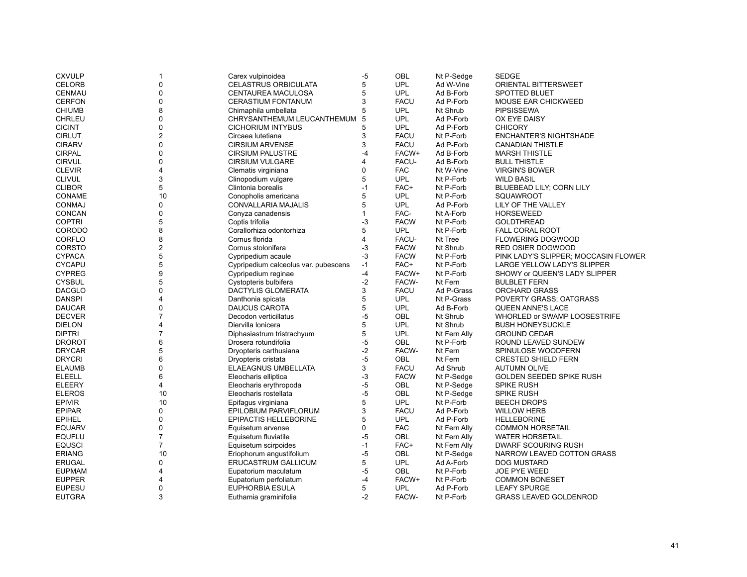| <b>CXVULP</b> | 1                       | Carex vulpinoidea                    | -5             | OBL         | Nt P-Sedge             | <b>SEDGE</b>                         |
|---------------|-------------------------|--------------------------------------|----------------|-------------|------------------------|--------------------------------------|
| <b>CELORB</b> | 0                       | CELASTRUS ORBICULATA                 | 5              | <b>UPL</b>  | Ad W-Vine              | <b>ORIENTAL BITTERSWEET</b>          |
| CENMAU        | 0                       | CENTAUREA MACULOSA                   | 5              | <b>UPL</b>  | Ad B-Forb              | <b>SPOTTED BLUET</b>                 |
| <b>CERFON</b> | 0                       | CERASTIUM FONTANUM                   | 3              | <b>FACU</b> | Ad P-Forb              | <b>MOUSE EAR CHICKWEED</b>           |
| <b>CHIUMB</b> | 8                       | Chimaphila umbellata                 | 5              | <b>UPL</b>  | Nt Shrub               | <b>PIPSISSEWA</b>                    |
| <b>CHRLEU</b> | 0                       | CHRYSANTHEMUM LEUCANTHEMUM           | 5              | <b>UPL</b>  | Ad P-Forb              | OX EYE DAISY                         |
| <b>CICINT</b> | 0                       | <b>CICHORIUM INTYBUS</b>             | 5              | <b>UPL</b>  | Ad P-Forb              | <b>CHICORY</b>                       |
| <b>CIRLUT</b> | $\overline{\mathbf{c}}$ | Circaea lutetiana                    | 3              | <b>FACU</b> | Nt P-Forb              | <b>ENCHANTER'S NIGHTSHADE</b>        |
| <b>CIRARV</b> | 0                       | <b>CIRSIUM ARVENSE</b>               | 3              | <b>FACU</b> | Ad P-Forb              | <b>CANADIAN THISTLE</b>              |
| <b>CIRPAL</b> | 0                       | <b>CIRSIUM PALUSTRE</b>              | $-4$           | FACW+       | Ad B-Forb              | <b>MARSH THISTLE</b>                 |
| <b>CIRVUL</b> | 0                       | <b>CIRSIUM VULGARE</b>               | 4              | FACU-       | Ad B-Forb              | <b>BULL THISTLE</b>                  |
| <b>CLEVIR</b> | 4                       | Clematis virginiana                  | 0              | <b>FAC</b>  | Nt W-Vine              | <b>VIRGIN'S BOWER</b>                |
| <b>CLIVUL</b> | 3                       | Clinopodium vulgare                  | 5              | <b>UPL</b>  | Nt P-Forb              | <b>WILD BASIL</b>                    |
| <b>CLIBOR</b> | 5                       | Clintonia borealis                   | $-1$           | FAC+        | Nt P-Forb              | BLUEBEAD LILY; CORN LILY             |
| <b>CONAME</b> | 10                      | Conopholis americana                 | 5              | <b>UPL</b>  | Nt P-Forb              | SQUAWROOT                            |
| <b>CONMAJ</b> | 0                       |                                      | 5              | <b>UPL</b>  |                        | LILY OF THE VALLEY                   |
| <b>CONCAN</b> | 0                       | CONVALLARIA MAJALIS                  | $\mathbf{1}$   | FAC-        | Ad P-Forb<br>Nt A-Forb | <b>HORSEWEED</b>                     |
|               |                         | Conyza canadensis                    |                |             |                        |                                      |
| <b>COPTRI</b> | 5                       | Coptis trifolia                      | $-3$           | <b>FACW</b> | Nt P-Forb              | <b>GOLDTHREAD</b>                    |
| CORODO        | 8                       | Corallorhiza odontorhiza             | 5              | <b>UPL</b>  | Nt P-Forb              | <b>FALL CORAL ROOT</b>               |
| CORFLO        | 8                       | Cornus florida                       | $\overline{4}$ | FACU-       | Nt Tree                | <b>FLOWERING DOGWOOD</b>             |
| <b>CORSTO</b> | $\overline{\mathbf{c}}$ | Cornus stolonifera                   | -3             | <b>FACW</b> | Nt Shrub               | RED OSIER DOGWOOD                    |
| <b>CYPACA</b> | 5                       | Cypripedium acaule                   | $-3$           | <b>FACW</b> | Nt P-Forb              | PINK LADY'S SLIPPER; MOCCASIN FLOWER |
| <b>CYCAPU</b> | 5                       | Cypripedium calceolus var. pubescens | $-1$           | FAC+        | Nt P-Forb              | LARGE YELLOW LADY'S SLIPPER          |
| <b>CYPREG</b> | 9                       | Cypripedium reginae                  | $-4$           | FACW+       | Nt P-Forb              | SHOWY or QUEEN'S LADY SLIPPER        |
| <b>CYSBUL</b> | 5                       | Cystopteris bulbifera                | $-2$           | FACW-       | Nt Fern                | <b>BULBLET FERN</b>                  |
| <b>DACGLO</b> | 0                       | DACTYLIS GLOMERATA                   | 3              | <b>FACU</b> | Ad P-Grass             | <b>ORCHARD GRASS</b>                 |
| <b>DANSPI</b> | 4                       | Danthonia spicata                    | 5              | <b>UPL</b>  | Nt P-Grass             | POVERTY GRASS; OATGRASS              |
| <b>DAUCAR</b> | 0                       | <b>DAUCUS CAROTA</b>                 | 5              | <b>UPL</b>  | Ad B-Forb              | <b>QUEEN ANNE'S LACE</b>             |
| <b>DECVER</b> | $\overline{7}$          | Decodon verticillatus                | $-5$           | <b>OBL</b>  | Nt Shrub               | WHORLED or SWAMP LOOSESTRIFE         |
| <b>DIELON</b> | 4                       | Diervilla lonicera                   | 5              | <b>UPL</b>  | Nt Shrub               | <b>BUSH HONEYSUCKLE</b>              |
| <b>DIPTRI</b> | $\overline{7}$          | Diphasiastrum tristrachyum           | 5              | <b>UPL</b>  | Nt Fern Ally           | <b>GROUND CEDAR</b>                  |
| <b>DROROT</b> | 6                       | Drosera rotundifolia                 | $-5$           | OBL         | Nt P-Forb              | ROUND LEAVED SUNDEW                  |
| <b>DRYCAR</b> | 5                       | Dryopteris carthusiana               | $-2$           | FACW-       | Nt Fern                | SPINULOSE WOODFERN                   |
| <b>DRYCRI</b> | 6                       | Dryopteris cristata                  | $-5$           | OBL         | Nt Fern                | <b>CRESTED SHIELD FERN</b>           |
| <b>ELAUMB</b> | 0                       | ELAEAGNUS UMBELLATA                  | 3              | <b>FACU</b> | Ad Shrub               | <b>AUTUMN OLIVE</b>                  |
| <b>ELEELL</b> | 6                       | Eleocharis elliptica                 | $-3$           | <b>FACW</b> | Nt P-Sedge             | GOLDEN SEEDED SPIKE RUSH             |
| <b>ELEERY</b> | 4                       | Eleocharis erythropoda               | $-5$           | <b>OBL</b>  | Nt P-Sedge             | <b>SPIKE RUSH</b>                    |
| <b>ELEROS</b> | 10                      | Eleocharis rostellata                | $-5$           | OBL         | Nt P-Sedge             | SPIKE RUSH                           |
| <b>EPIVIR</b> | 10                      | Epifagus virginiana                  | 5              | <b>UPL</b>  | Nt P-Forb              | <b>BEECH DROPS</b>                   |
| <b>EPIPAR</b> | 0                       | EPILOBIUM PARVIFLORUM                | 3              | <b>FACU</b> | Ad P-Forb              | <b>WILLOW HERB</b>                   |
| <b>EPIHEL</b> | 0                       | <b>EPIPACTIS HELLEBORINE</b>         | 5              | <b>UPL</b>  | Ad P-Forb              | <b>HELLEBORINE</b>                   |
| <b>EQUARV</b> | 0                       | Equisetum arvense                    | 0              | <b>FAC</b>  | Nt Fern Ally           | <b>COMMON HORSETAIL</b>              |
| <b>EQUFLU</b> | $\overline{7}$          | Equisetum fluviatile                 | $-5$           | OBL         | Nt Fern Ally           | <b>WATER HORSETAIL</b>               |
| <b>EQUSCI</b> | $\overline{7}$          | Equisetum scirpoides                 | $-1$           | FAC+        | Nt Fern Ally           | <b>DWARF SCOURING RUSH</b>           |
| <b>ERIANG</b> | 10                      | Eriophorum angustifolium             | $-5$           | OBL         | Nt P-Sedge             | NARROW LEAVED COTTON GRASS           |
| <b>ERUGAL</b> | 0                       | ERUCASTRUM GALLICUM                  | 5              | <b>UPL</b>  | Ad A-Forb              | <b>DOG MUSTARD</b>                   |
| <b>EUPMAM</b> | 4                       | Eupatorium maculatum                 | $-5$           | <b>OBL</b>  | Nt P-Forb              | <b>JOE PYE WEED</b>                  |
| <b>EUPPER</b> | 4                       | Eupatorium perfoliatum               | $-4$           | FACW+       | Nt P-Forb              | <b>COMMON BONESET</b>                |
| <b>EUPESU</b> | 0                       | EUPHORBIA ESULA                      | 5              | <b>UPL</b>  | Ad P-Forb              | <b>LEAFY SPURGE</b>                  |
| <b>EUTGRA</b> | 3                       | Euthamia graminifolia                | $-2$           | FACW-       | Nt P-Forb              | <b>GRASS LEAVED GOLDENROD</b>        |
|               |                         |                                      |                |             |                        |                                      |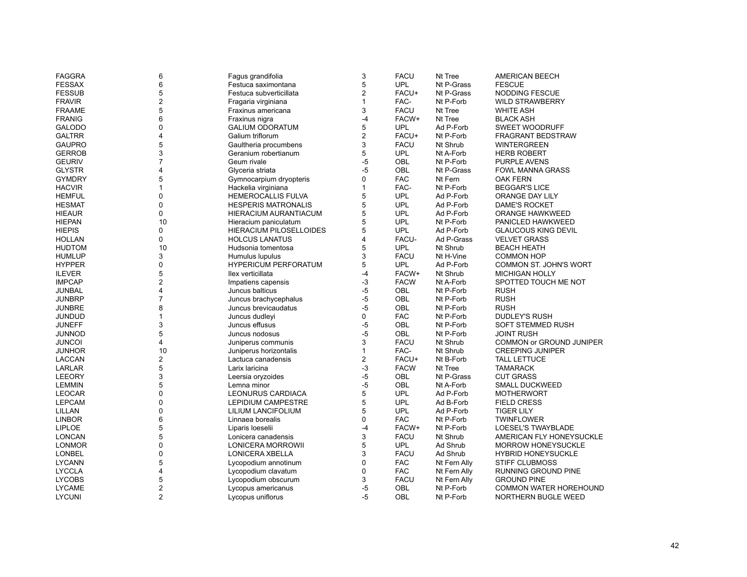| <b>FAGGRA</b> | 6              | Fagus grandifolia              | 3              | <b>FACU</b> | Nt Tree      | <b>AMERICAN BEECH</b>         |
|---------------|----------------|--------------------------------|----------------|-------------|--------------|-------------------------------|
| <b>FESSAX</b> | 6              | Festuca saximontana            | 5              | <b>UPL</b>  | Nt P-Grass   | <b>FESCUE</b>                 |
| <b>FESSUB</b> | 5              | Festuca subverticillata        | $\overline{2}$ | FACU+       | Nt P-Grass   | NODDING FESCUE                |
| <b>FRAVIR</b> | 2              | Fragaria virginiana            | $\mathbf{1}$   | FAC-        | Nt P-Forb    | <b>WILD STRAWBERRY</b>        |
| <b>FRAAME</b> | 5              | Fraxinus americana             | 3              | <b>FACU</b> | Nt Tree      | <b>WHITE ASH</b>              |
| <b>FRANIG</b> | 6              | Fraxinus nigra                 | $-4$           | FACW+       | Nt Tree      | <b>BLACK ASH</b>              |
| <b>GALODO</b> | 0              | <b>GALIUM ODORATUM</b>         | 5              | UPL         | Ad P-Forb    | <b>SWEET WOODRUFF</b>         |
| <b>GALTRR</b> | 4              | Galium triflorum               | $\overline{2}$ | FACU+       | Nt P-Forb    | FRAGRANT BEDSTRAW             |
| <b>GAUPRO</b> | 5              | Gaultheria procumbens          | 3              | <b>FACU</b> | Nt Shrub     | <b>WINTERGREEN</b>            |
| <b>GERROB</b> | 3              | Geranium robertianum           | 5              | <b>UPL</b>  | Nt A-Forb    | <b>HERB ROBERT</b>            |
| <b>GEURIV</b> | $\overline{7}$ | Geum rivale                    | $-5$           | OBL         | Nt P-Forb    | PURPLE AVENS                  |
| <b>GLYSTR</b> | 4              | Glyceria striata               | $-5$           | OBL         | Nt P-Grass   | <b>FOWL MANNA GRASS</b>       |
| <b>GYMDRY</b> | 5              | Gymnocarpium dryopteris        | 0              | <b>FAC</b>  | Nt Fern      | <b>OAK FERN</b>               |
| <b>HACVIR</b> | $\mathbf{1}$   | Hackelia virginiana            | $\mathbf{1}$   | FAC-        | Nt P-Forb    | <b>BEGGAR'S LICE</b>          |
| <b>HEMFUL</b> | $\mathbf 0$    | <b>HEMEROCALLIS FULVA</b>      | 5              | <b>UPL</b>  | Ad P-Forb    | <b>ORANGE DAY LILY</b>        |
| <b>HESMAT</b> | 0              | <b>HESPERIS MATRONALIS</b>     | 5              | <b>UPL</b>  | Ad P-Forb    | <b>DAME'S ROCKET</b>          |
| <b>HIEAUR</b> | 0              | HIERACIUM AURANTIACUM          | 5              | <b>UPL</b>  | Ad P-Forb    | ORANGE HAWKWEED               |
| <b>HIEPAN</b> | 10             | Hieracium paniculatum          | 5              | <b>UPL</b>  | Nt P-Forb    | PANICLED HAWKWEED             |
| <b>HIEPIS</b> | 0              | <b>HIERACIUM PILOSELLOIDES</b> | 5              | <b>UPL</b>  | Ad P-Forb    | <b>GLAUCOUS KING DEVIL</b>    |
| <b>HOLLAN</b> | 0              | <b>HOLCUS LANATUS</b>          | $\overline{4}$ | FACU-       | Ad P-Grass   | <b>VELVET GRASS</b>           |
| <b>HUDTOM</b> | 10             | Hudsonia tomentosa             | 5              | <b>UPL</b>  | Nt Shrub     | <b>BEACH HEATH</b>            |
| <b>HUMLUP</b> | 3              | Humulus lupulus                | 3              | <b>FACU</b> | Nt H-Vine    | <b>COMMON HOP</b>             |
| <b>HYPPER</b> | 0              | <b>HYPERICUM PERFORATUM</b>    | 5              | <b>UPL</b>  | Ad P-Forb    | <b>COMMON ST. JOHN'S WORT</b> |
| <b>ILEVER</b> | 5              | llex verticillata              | $-4$           | FACW+       | Nt Shrub     | <b>MICHIGAN HOLLY</b>         |
| <b>IMPCAP</b> | $\overline{c}$ | Impatiens capensis             | -3             | <b>FACW</b> | Nt A-Forb    | SPOTTED TOUCH ME NOT          |
| <b>JUNBAL</b> | 4              | Juncus balticus                | $-5$           | <b>OBL</b>  | Nt P-Forb    | <b>RUSH</b>                   |
| <b>JUNBRP</b> | $\overline{7}$ | Juncus brachycephalus          | $-5$           | OBL         | Nt P-Forb    | <b>RUSH</b>                   |
| <b>JUNBRE</b> | 8              | Juncus brevicaudatus           | $-5$           | OBL         | Nt P-Forb    | <b>RUSH</b>                   |
| <b>JUNDUD</b> | $\mathbf{1}$   | Juncus dudleyi                 | $\mathbf 0$    | <b>FAC</b>  | Nt P-Forb    | <b>DUDLEY'S RUSH</b>          |
| <b>JUNEFF</b> | 3              | Juncus effusus                 | $-5$           | <b>OBL</b>  | Nt P-Forb    | <b>SOFT STEMMED RUSH</b>      |
| <b>JUNNOD</b> | 5              | Juncus nodosus                 | $-5$           | <b>OBL</b>  | Nt P-Forb    | <b>JOINT RUSH</b>             |
| <b>JUNCOI</b> | 4              | Juniperus communis             | 3              | <b>FACU</b> | Nt Shrub     | COMMON or GROUND JUNIPER      |
| <b>JUNHOR</b> | 10             |                                | $\mathbf{1}$   | FAC-        | Nt Shrub     | <b>CREEPING JUNIPER</b>       |
| <b>LACCAN</b> |                | Juniperus horizontalis         | $\overline{2}$ | FACU+       | Nt B-Forb    | <b>TALL LETTUCE</b>           |
|               | 2<br>5         | Lactuca canadensis             | $-3$           |             |              |                               |
| <b>LARLAR</b> | 3              | Larix laricina                 | $-5$           | <b>FACW</b> | Nt Tree      | <b>TAMARACK</b>               |
| <b>LEEORY</b> |                | Leersia oryzoides              |                | OBL         | Nt P-Grass   | <b>CUT GRASS</b>              |
| <b>LEMMIN</b> | 5              | Lemna minor                    | $-5$           | <b>OBL</b>  | Nt A-Forb    | <b>SMALL DUCKWEED</b>         |
| <b>LEOCAR</b> | 0              | LEONURUS CARDIACA              | 5              | <b>UPL</b>  | Ad P-Forb    | <b>MOTHERWORT</b>             |
| <b>LEPCAM</b> | $\mathbf 0$    | <b>LEPIDIUM CAMPESTRE</b>      | 5              | <b>UPL</b>  | Ad B-Forb    | <b>FIELD CRESS</b>            |
| LILLAN        | 0              | LILIUM LANCIFOLIUM             | 5              | <b>UPL</b>  | Ad P-Forb    | <b>TIGER LILY</b>             |
| <b>LINBOR</b> | 6              | Linnaea borealis               | $\mathbf 0$    | <b>FAC</b>  | Nt P-Forb    | <b>TWINFLOWER</b>             |
| <b>LIPLOE</b> | 5              | Liparis loeselii               | $-4$           | FACW+       | Nt P-Forb    | LOESEL'S TWAYBLADE            |
| <b>LONCAN</b> | 5              | Lonicera canadensis            | 3              | <b>FACU</b> | Nt Shrub     | AMERICAN FLY HONEYSUCKLE      |
| <b>LONMOR</b> | 0              | LONICERA MORROWII              | 5              | <b>UPL</b>  | Ad Shrub     | <b>MORROW HONEYSUCKLE</b>     |
| <b>LONBEL</b> | 0              | LONICERA XBELLA                | 3              | <b>FACU</b> | Ad Shrub     | <b>HYBRID HONEYSUCKLE</b>     |
| <b>LYCANN</b> | 5              | Lycopodium annotinum           | 0              | <b>FAC</b>  | Nt Fern Ally | <b>STIFF CLUBMOSS</b>         |
| <b>LYCCLA</b> | 4              | Lycopodium clavatum            | $\mathbf 0$    | <b>FAC</b>  | Nt Fern Ally | RUNNING GROUND PINE           |
| <b>LYCOBS</b> | 5              | Lycopodium obscurum            | 3              | <b>FACU</b> | Nt Fern Ally | <b>GROUND PINE</b>            |
| <b>LYCAME</b> | $\overline{2}$ | Lycopus americanus             | -5             | OBL         | Nt P-Forb    | <b>COMMON WATER HOREHOUND</b> |
| <b>LYCUNI</b> | $\overline{2}$ | Lycopus uniflorus              | $-5$           | <b>OBL</b>  | Nt P-Forb    | <b>NORTHERN BUGLE WEED</b>    |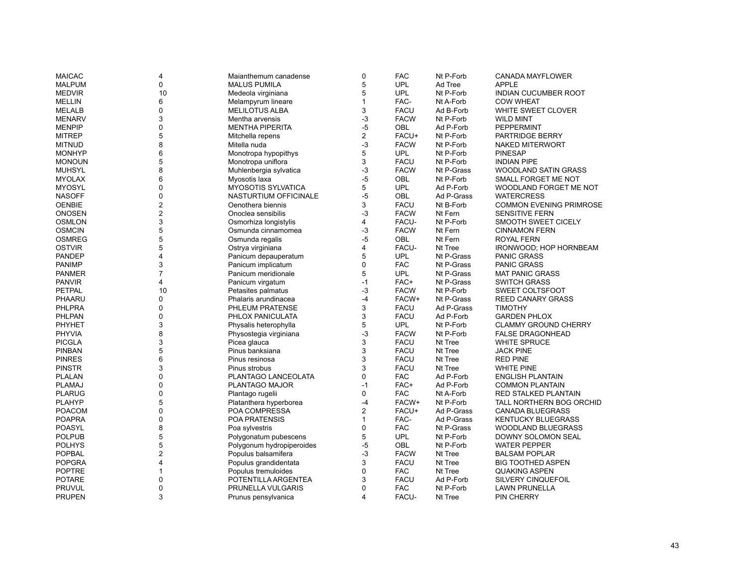| <b>MAICAC</b> | 4                | Maianthemum canadense     | $\pmb{0}$               | <b>FAC</b>  | Nt P-Forb               | CANADA MAYFLOWER               |
|---------------|------------------|---------------------------|-------------------------|-------------|-------------------------|--------------------------------|
| <b>MALPUM</b> | $\mathbf 0$      | <b>MALUS PUMILA</b>       | 5                       | <b>UPL</b>  | Ad Tree                 | <b>APPLE</b>                   |
| <b>MEDVIR</b> | 10               | Medeola virginiana        | 5                       | <b>UPL</b>  | Nt P-Forb               | INDIAN CUCUMBER ROOT           |
| <b>MELLIN</b> | 6                | Melampyrum lineare        | 1                       | FAC-        | Nt A-Forb               | <b>COW WHEAT</b>               |
| <b>MELALB</b> | $\mathbf 0$      | <b>MELILOTUS ALBA</b>     | 3                       | <b>FACU</b> | Ad B-Forb               | WHITE SWEET CLOVER             |
| <b>MENARV</b> | 3                | Mentha arvensis           | $-3$                    | <b>FACW</b> | Nt P-Forb               | <b>WILD MINT</b>               |
| <b>MENPIP</b> | $\mathbf 0$      | <b>MENTHA PIPERITA</b>    | $-5$                    | <b>OBL</b>  | Ad P-Forb               | PEPPERMINT                     |
| <b>MITREP</b> | 5                | Mitchella repens          | $\overline{\mathbf{c}}$ | FACU+       | Nt P-Forb               | PARTRIDGE BERRY                |
| <b>MITNUD</b> | 8                | Mitella nuda              | $-3$                    | <b>FACW</b> | Nt P-Forb               | NAKED MITERWORT                |
| <b>MONHYP</b> | 6                | Monotropa hypopithys      | 5                       | <b>UPL</b>  | Nt P-Forb               | <b>PINESAP</b>                 |
| <b>MONOUN</b> | 5                | Monotropa uniflora        | 3                       | <b>FACU</b> | Nt P-Forb               | <b>INDIAN PIPE</b>             |
| <b>MUHSYL</b> | 8                | Muhlenbergia sylvatica    | $-3$                    | <b>FACW</b> | Nt P-Grass              | <b>WOODLAND SATIN GRASS</b>    |
| <b>MYOLAX</b> | 6                | Myosotis laxa             | $-5$                    | OBL         | Nt P-Forb               | SMALL FORGET ME NOT            |
| <b>MYOSYL</b> | 0                | <b>MYOSOTIS SYLVATICA</b> | 5                       | <b>UPL</b>  | Ad P-Forb               | WOODLAND FORGET ME NOT         |
| <b>NASOFF</b> | $\mathbf 0$      | NASTURTIUM OFFICINALE     | $-5$                    | <b>OBL</b>  | Ad P-Grass              | <b>WATERCRESS</b>              |
| <b>OENBIE</b> | $\boldsymbol{2}$ | Oenothera biennis         | 3                       | <b>FACU</b> | Nt B-Forb               | <b>COMMON EVENING PRIMROSE</b> |
| <b>ONOSEN</b> | $\overline{2}$   | Onoclea sensibilis        | $-3$                    | <b>FACW</b> | Nt Fern                 | <b>SENSITIVE FERN</b>          |
| <b>OSMLON</b> | 3                | Osmorhiza longistylis     | 4                       | FACU-       | Nt P-Forb               | SMOOTH SWEET CICELY            |
| <b>OSMCIN</b> | 5                | Osmunda cinnamomea        | $-3$                    | <b>FACW</b> | Nt Fern                 | <b>CINNAMON FERN</b>           |
| <b>OSMREG</b> | 5                | Osmunda regalis           | $-5$                    | <b>OBL</b>  | Nt Fern                 | <b>ROYAL FERN</b>              |
| <b>OSTVIR</b> | 5                | Ostrya virginiana         | 4                       | FACU-       | Nt Tree                 | IRONWOOD; HOP HORNBEAM         |
| <b>PANDEP</b> | 4                | Panicum depauperatum      | 5                       | <b>UPL</b>  | Nt P-Grass              | <b>PANIC GRASS</b>             |
| <b>PANIMP</b> | 3                | Panicum implicatum        | 0                       | <b>FAC</b>  | Nt P-Grass              | <b>PANIC GRASS</b>             |
| <b>PANMER</b> | $\overline{7}$   | Panicum meridionale       | 5                       | <b>UPL</b>  | Nt P-Grass              | <b>MAT PANIC GRASS</b>         |
| <b>PANVIR</b> | 4                | Panicum virgatum          | $-1$                    | FAC+        | Nt P-Grass              | <b>SWITCH GRASS</b>            |
| PETPAL        | 10               | Petasites palmatus        | $-3$                    | <b>FACW</b> | Nt P-Forb               | SWEET COLTSFOOT                |
| PHAARU        | $\Omega$         | Phalaris arundinacea      | $-4$                    | FACW+       | Nt P-Grass              | <b>REED CANARY GRASS</b>       |
| <b>PHLPRA</b> | $\mathbf 0$      |                           | 3                       | <b>FACU</b> |                         | <b>TIMOTHY</b>                 |
| PHLPAN        | $\mathbf 0$      | PHLEUM PRATENSE           | 3                       | <b>FACU</b> | Ad P-Grass<br>Ad P-Forb |                                |
|               |                  | PHLOX PANICULATA          | 5                       |             |                         | <b>GARDEN PHLOX</b>            |
| <b>PHYHET</b> | 3                | Physalis heterophylla     |                         | <b>UPL</b>  | Nt P-Forb               | <b>CLAMMY GROUND CHERRY</b>    |
| <b>PHYVIA</b> | 8                | Physostegia virginiana    | $-3$                    | <b>FACW</b> | Nt P-Forb               | <b>FALSE DRAGONHEAD</b>        |
| <b>PICGLA</b> | 3                | Picea glauca              | 3                       | <b>FACU</b> | Nt Tree                 | <b>WHITE SPRUCE</b>            |
| <b>PINBAN</b> | 5                | Pinus banksiana           | 3                       | <b>FACU</b> | Nt Tree                 | <b>JACK PINE</b>               |
| <b>PINRES</b> | 6                | Pinus resinosa            | 3                       | <b>FACU</b> | Nt Tree                 | <b>RED PINE</b>                |
| <b>PINSTR</b> | 3                | Pinus strobus             | 3                       | <b>FACU</b> | Nt Tree                 | <b>WHITE PINE</b>              |
| <b>PLALAN</b> | 0                | PLANTAGO LANCEOLATA       | 0                       | <b>FAC</b>  | Ad P-Forb               | <b>ENGLISH PLANTAIN</b>        |
| <b>PLAMAJ</b> | $\mathbf 0$      | PLANTAGO MAJOR            | $-1$                    | FAC+        | Ad P-Forb               | <b>COMMON PLANTAIN</b>         |
| <b>PLARUG</b> | $\mathbf 0$      | Plantago rugelii          | 0                       | <b>FAC</b>  | Nt A-Forb               | RED STALKED PLANTAIN           |
| <b>PLAHYP</b> | 5                | Platanthera hyperborea    | $-4$                    | FACW+       | Nt P-Forb               | TALL NORTHERN BOG ORCHID       |
| <b>POACOM</b> | $\mathbf 0$      | POA COMPRESSA             | 2                       | FACU+       | Ad P-Grass              | <b>CANADA BLUEGRASS</b>        |
| <b>POAPRA</b> | 0                | POA PRATENSIS             | $\mathbf{1}$            | FAC-        | Ad P-Grass              | <b>KENTUCKY BLUEGRASS</b>      |
| <b>POASYL</b> | 8                | Poa sylvestris            | 0                       | <b>FAC</b>  | Nt P-Grass              | <b>WOODLAND BLUEGRASS</b>      |
| <b>POLPUB</b> | 5                | Polygonatum pubescens     | 5                       | <b>UPL</b>  | Nt P-Forb               | DOWNY SOLOMON SEAL             |
| <b>POLHYS</b> | 5                | Polygonum hydropiperoides | $-5$                    | OBL         | Nt P-Forb               | <b>WATER PEPPER</b>            |
| <b>POPBAL</b> | 2                | Populus balsamifera       | $-3$                    | <b>FACW</b> | Nt Tree                 | <b>BALSAM POPLAR</b>           |
| <b>POPGRA</b> | 4                | Populus grandidentata     | 3                       | <b>FACU</b> | Nt Tree                 | <b>BIG TOOTHED ASPEN</b>       |
| <b>POPTRE</b> | 1                | Populus tremuloides       | 0                       | <b>FAC</b>  | Nt Tree                 | <b>QUAKING ASPEN</b>           |
| <b>POTARE</b> | 0                | POTENTILLA ARGENTEA       | 3                       | <b>FACU</b> | Ad P-Forb               | SILVERY CINQUEFOIL             |
| <b>PRUVUL</b> | $\mathbf 0$      | PRUNELLA VULGARIS         | $\Omega$                | <b>FAC</b>  | Nt P-Forb               | <b>LAWN PRUNELLA</b>           |
| <b>PRUPEN</b> | 3                | Prunus pensylvanica       | 4                       | FACU-       | Nt Tree                 | <b>PIN CHERRY</b>              |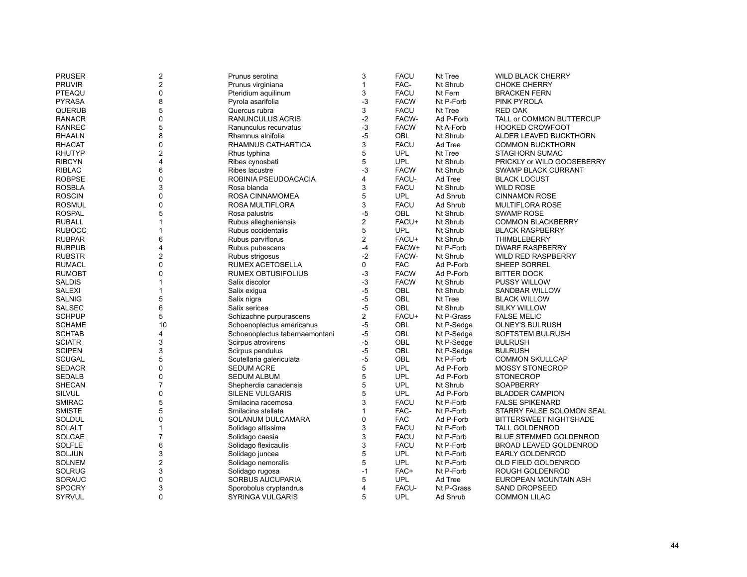| <b>PRUSER</b> | 2              | Prunus serotina                | 3              | <b>FACU</b> | Nt Tree    | <b>WILD BLACK CHERRY</b>      |
|---------------|----------------|--------------------------------|----------------|-------------|------------|-------------------------------|
| <b>PRUVIR</b> | $\overline{c}$ | Prunus virginiana              | $\mathbf{1}$   | FAC-        | Nt Shrub   | <b>CHOKE CHERRY</b>           |
| PTEAQU        | 0              | Pteridium aquilinum            | 3              | <b>FACU</b> | Nt Fern    | <b>BRACKEN FERN</b>           |
| <b>PYRASA</b> | 8              | Pyrola asarifolia              | $-3$           | <b>FACW</b> | Nt P-Forb  | <b>PINK PYROLA</b>            |
| <b>QUERUB</b> | 5              | Quercus rubra                  | 3              | <b>FACU</b> | Nt Tree    | <b>RED OAK</b>                |
| <b>RANACR</b> | 0              | RANUNCULUS ACRIS               | $-2$           | FACW-       | Ad P-Forb  | TALL or COMMON BUTTERCUP      |
| <b>RANREC</b> | 5              | Ranunculus recurvatus          | $-3$           | <b>FACW</b> | Nt A-Forb  | <b>HOOKED CROWFOOT</b>        |
| <b>RHAALN</b> | 8              | Rhamnus alnifolia              | $-5$           | OBL         | Nt Shrub   | ALDER LEAVED BUCKTHORN        |
| <b>RHACAT</b> | 0              | RHAMNUS CATHARTICA             | 3              | <b>FACU</b> | Ad Tree    | <b>COMMON BUCKTHORN</b>       |
| <b>RHUTYP</b> | $\overline{c}$ | Rhus typhina                   | 5              | <b>UPL</b>  | Nt Tree    | <b>STAGHORN SUMAC</b>         |
| <b>RIBCYN</b> | 4              | Ribes cynosbati                | 5              | <b>UPL</b>  | Nt Shrub   | PRICKLY or WILD GOOSEBERRY    |
| <b>RIBLAC</b> | 6              | Ribes lacustre                 | $-3$           | <b>FACW</b> | Nt Shrub   | <b>SWAMP BLACK CURRANT</b>    |
| <b>ROBPSE</b> | 0              | ROBINIA PSEUDOACACIA           | 4              | FACU-       | Ad Tree    | <b>BLACK LOCUST</b>           |
| <b>ROSBLA</b> | 3              | Rosa blanda                    | 3              | <b>FACU</b> | Nt Shrub   | <b>WILD ROSE</b>              |
| <b>ROSCIN</b> | 0              | ROSA CINNAMOMEA                | 5              | <b>UPL</b>  | Ad Shrub   | <b>CINNAMON ROSE</b>          |
| <b>ROSMUL</b> | 0              | ROSA MULTIFLORA                | 3              | <b>FACU</b> | Ad Shrub   | <b>MULTIFLORA ROSE</b>        |
| <b>ROSPAL</b> | 5              | Rosa palustris                 | $-5$           | <b>OBL</b>  | Nt Shrub   | <b>SWAMP ROSE</b>             |
| <b>RUBALL</b> | $\mathbf{1}$   | Rubus allegheniensis           | $\mathbf 2$    | FACU+       | Nt Shrub   | <b>COMMON BLACKBERRY</b>      |
| <b>RUBOCC</b> | 1              | Rubus occidentalis             | 5              | <b>UPL</b>  | Nt Shrub   | <b>BLACK RASPBERRY</b>        |
| <b>RUBPAR</b> | 6              | Rubus parviflorus              | $\overline{c}$ | FACU+       | Nt Shrub   | THIMBLEBERRY                  |
| <b>RUBPUB</b> | 4              | Rubus pubescens                | $-4$           | FACW+       | Nt P-Forb  | <b>DWARF RASPBERRY</b>        |
| <b>RUBSTR</b> | $\overline{2}$ | Rubus strigosus                | $-2$           | FACW-       | Nt Shrub   | <b>WILD RED RASPBERRY</b>     |
| <b>RUMACL</b> | 0              | RUMEX ACETOSELLA               | 0              | <b>FAC</b>  | Ad P-Forb  | SHEEP SORREL                  |
| <b>RUMOBT</b> | 0              | <b>RUMEX OBTUSIFOLIUS</b>      | $-3$           | <b>FACW</b> | Ad P-Forb  | <b>BITTER DOCK</b>            |
| <b>SALDIS</b> | 1              | Salix discolor                 | $-3$           | <b>FACW</b> | Nt Shrub   | <b>PUSSY WILLOW</b>           |
| <b>SALEXI</b> | 1              | Salix exigua                   | $-5$           | OBL         | Nt Shrub   | SANDBAR WILLOW                |
| <b>SALNIG</b> | 5              | Salix nigra                    | $-5$           | <b>OBL</b>  | Nt Tree    | <b>BLACK WILLOW</b>           |
| <b>SALSEC</b> | 6              | Salix sericea                  | $-5$           | OBL         | Nt Shrub   | <b>SILKY WILLOW</b>           |
| <b>SCHPUP</b> | 5              | Schizachne purpurascens        | $\overline{c}$ | FACU+       | Nt P-Grass | <b>FALSE MELIC</b>            |
| <b>SCHAME</b> | 10             | Schoenoplectus americanus      | $-5$           | <b>OBL</b>  | Nt P-Sedge | <b>OLNEY'S BULRUSH</b>        |
| <b>SCHTAB</b> | 4              | Schoenoplectus tabernaemontani | $-5$           | OBL         | Nt P-Sedge | <b>SOFTSTEM BULRUSH</b>       |
| <b>SCIATR</b> | 3              | Scirpus atrovirens             | $-5$           | OBL         | Nt P-Sedge | <b>BULRUSH</b>                |
| <b>SCIPEN</b> | 3              | Scirpus pendulus               | $-5$           | OBL         | Nt P-Sedge | <b>BULRUSH</b>                |
| <b>SCUGAL</b> | 5              | Scutellaria galericulata       | $-5$           | OBL         | Nt P-Forb  | <b>COMMON SKULLCAP</b>        |
| <b>SEDACR</b> | 0              | <b>SEDUM ACRE</b>              | 5              | <b>UPL</b>  | Ad P-Forb  | <b>MOSSY STONECROP</b>        |
| <b>SEDALB</b> | 0              | <b>SEDUM ALBUM</b>             | 5              | <b>UPL</b>  | Ad P-Forb  | <b>STONECROP</b>              |
| <b>SHECAN</b> | $\overline{7}$ | Shepherdia canadensis          | 5              | <b>UPL</b>  | Nt Shrub   | SOAPBERRY                     |
| SILVUL        | 0              | <b>SILENE VULGARIS</b>         | 5              | <b>UPL</b>  | Ad P-Forb  | <b>BLADDER CAMPION</b>        |
| <b>SMIRAC</b> | 5              | Smilacina racemosa             | 3              | <b>FACU</b> | Nt P-Forb  | <b>FALSE SPIKENARD</b>        |
| <b>SMISTE</b> | 5              | Smilacina stellata             | $\mathbf{1}$   | FAC-        | Nt P-Forb  | STARRY FALSE SOLOMON SEAL     |
| SOLDUL        | 0              | SOLANUM DULCAMARA              | $\mathbf 0$    | <b>FAC</b>  | Ad P-Forb  | <b>BITTERSWEET NIGHTSHADE</b> |
| <b>SOLALT</b> | $\mathbf{1}$   | Solidago altissima             | 3              | <b>FACU</b> | Nt P-Forb  | <b>TALL GOLDENROD</b>         |
| SOLCAE        | $\overline{7}$ | Solidago caesia                | 3              | <b>FACU</b> | Nt P-Forb  | BLUE STEMMED GOLDENROD        |
| <b>SOLFLE</b> | 6              | Solidago flexicaulis           | 3              | <b>FACU</b> | Nt P-Forb  | BROAD LEAVED GOLDENROD        |
| SOLJUN        | 3              | Solidago juncea                | 5              | <b>UPL</b>  | Nt P-Forb  | <b>EARLY GOLDENROD</b>        |
| <b>SOLNEM</b> | $\overline{c}$ | Solidago nemoralis             | 5              | UPL         | Nt P-Forb  | OLD FIELD GOLDENROD           |
| <b>SOLRUG</b> | 3              | Solidago rugosa                | $-1$           | FAC+        | Nt P-Forb  | ROUGH GOLDENROD               |
| SORAUC        | 0              | SORBUS AUCUPARIA               | 5              | <b>UPL</b>  | Ad Tree    | EUROPEAN MOUNTAIN ASH         |
| <b>SPOCRY</b> | 3              | Sporobolus cryptandrus         | $\overline{4}$ | FACU-       | Nt P-Grass | <b>SAND DROPSEED</b>          |
| <b>SYRVUL</b> | $\Omega$       | <b>SYRINGA VULGARIS</b>        | 5              | <b>UPL</b>  | Ad Shrub   | <b>COMMON LILAC</b>           |
|               |                |                                |                |             |            |                               |